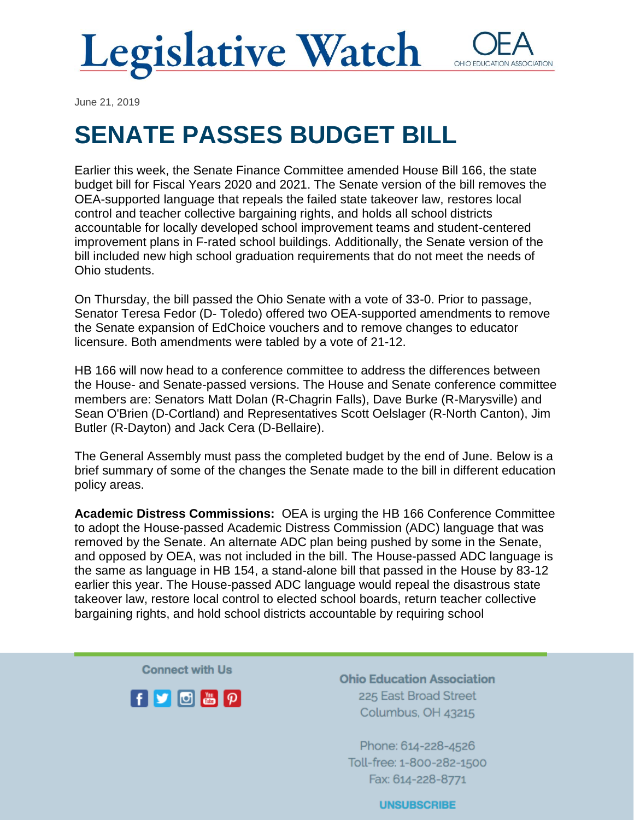

June 21, 2019

## **SENATE PASSES BUDGET BILL**

Earlier this week, the Senate Finance Committee amended House Bill 166, the state budget bill for Fiscal Years 2020 and 2021. The Senate version of the bill removes the OEA-supported language that repeals the failed state takeover law, restores local control and teacher collective bargaining rights, and holds all school districts accountable for locally developed school improvement teams and student-centered improvement plans in F-rated school buildings. Additionally, the Senate version of the bill included new high school graduation requirements that do not meet the needs of Ohio students.

On Thursday, the bill passed the Ohio Senate with a vote of 33-0. Prior to passage, Senator Teresa Fedor (D- Toledo) offered two OEA-supported amendments to remove the Senate expansion of EdChoice vouchers and to remove changes to educator licensure. Both amendments were tabled by a vote of 21-12.

HB 166 will now head to a conference committee to address the differences between the House- and Senate-passed versions. The House and Senate conference committee members are: Senators Matt Dolan (R-Chagrin Falls), Dave Burke (R-Marysville) and Sean O'Brien (D-Cortland) and Representatives Scott Oelslager (R-North Canton), Jim Butler (R-Dayton) and Jack Cera (D-Bellaire).

The General Assembly must pass the completed budget by the end of June. Below is a brief summary of some of the changes the Senate made to the bill in different education policy areas.

**Academic Distress Commissions:** OEA is urging the HB 166 Conference Committee to adopt the House-passed Academic Distress Commission (ADC) language that was removed by the Senate. An alternate ADC plan being pushed by some in the Senate, and opposed by OEA, was not included in the bill. The House-passed ADC language is the same as language in HB 154, a stand-alone bill that passed in the House by 83-12 earlier this year. The House-passed ADC language would repeal the disastrous state takeover law, restore local control to elected school boards, return teacher collective bargaining rights, and hold school districts accountable by requiring school

**Connect with Us** 



**Ohio Education Association** 225 East Broad Street Columbus, OH 43215

Phone: 614-228-4526 Toll-free: 1-800-282-1500 Fax: 614-228-8771

**UNSUBSCRIBE**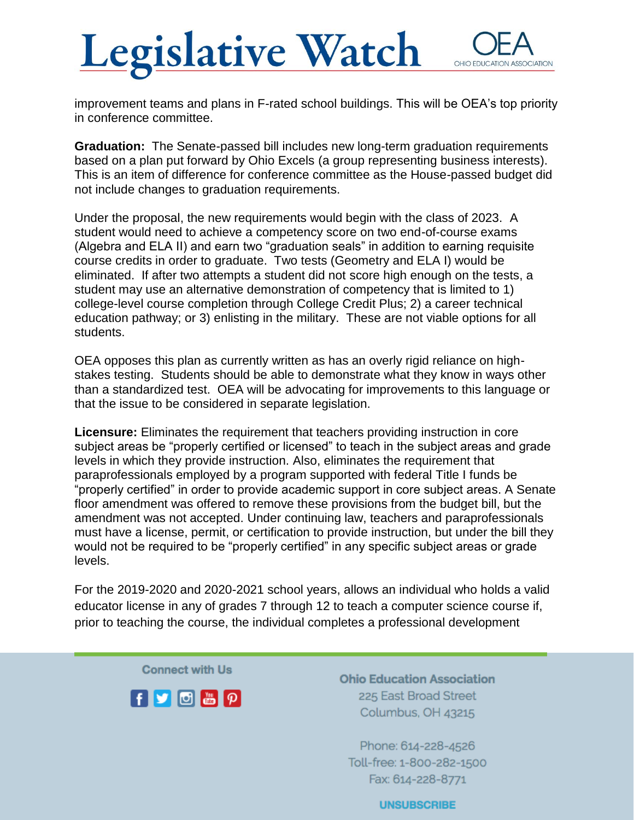## **Legislative Watch** OHIO EDUCATIO **ASSOCIATION**

improvement teams and plans in F-rated school buildings. This will be OEA's top priority in conference committee.

**Graduation:** The Senate-passed bill includes new long-term graduation requirements based on a plan put forward by Ohio Excels (a group representing business interests). This is an item of difference for conference committee as the House-passed budget did not include changes to graduation requirements.

Under the proposal, the new requirements would begin with the class of 2023. A student would need to achieve a competency score on two end-of-course exams (Algebra and ELA II) and earn two "graduation seals" in addition to earning requisite course credits in order to graduate. Two tests (Geometry and ELA I) would be eliminated. If after two attempts a student did not score high enough on the tests, a student may use an alternative demonstration of competency that is limited to 1) college-level course completion through College Credit Plus; 2) a career technical education pathway; or 3) enlisting in the military. These are not viable options for all students.

OEA opposes this plan as currently written as has an overly rigid reliance on highstakes testing. Students should be able to demonstrate what they know in ways other than a standardized test. OEA will be advocating for improvements to this language or that the issue to be considered in separate legislation.

**Licensure:** Eliminates the requirement that teachers providing instruction in core subject areas be "properly certified or licensed" to teach in the subject areas and grade levels in which they provide instruction. Also, eliminates the requirement that paraprofessionals employed by a program supported with federal Title I funds be "properly certified" in order to provide academic support in core subject areas. A Senate floor amendment was offered to remove these provisions from the budget bill, but the amendment was not accepted. Under continuing law, teachers and paraprofessionals must have a license, permit, or certification to provide instruction, but under the bill they would not be required to be "properly certified" in any specific subject areas or grade levels.

For the 2019-2020 and 2020-2021 school years, allows an individual who holds a valid educator license in any of grades 7 through 12 to teach a computer science course if, prior to teaching the course, the individual completes a professional development

**Connect with Us** 



**Ohio Education Association** 225 East Broad Street Columbus, OH 43215

Phone: 614-228-4526 Toll-free: 1-800-282-1500 Fax: 614-228-8771

**UNSUBSCRIBE**